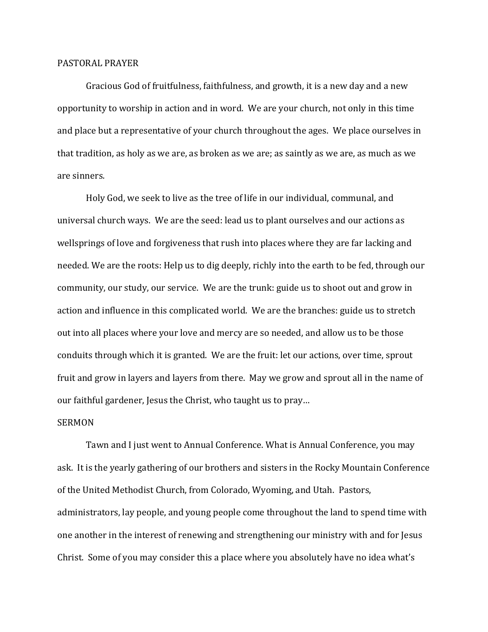## PASTORAL PRAYER

 Gracious God of fruitfulness, faithfulness, and growth, it is a new day and a new opportunity to worship in action and in word. We are your church, not only in this time and place but a representative of your church throughout the ages. We place ourselves in that tradition, as holy as we are, as broken as we are; as saintly as we are, as much as we are sinners.

 Holy God, we seek to live as the tree of life in our individual, communal, and universal church ways. We are the seed: lead us to plant ourselves and our actions as wellsprings of love and forgiveness that rush into places where they are far lacking and needed. We are the roots: Help us to dig deeply, richly into the earth to be fed, through our community, our study, our service. We are the trunk: guide us to shoot out and grow in action and influence in this complicated world. We are the branches: guide us to stretch out into all places where your love and mercy are so needed, and allow us to be those conduits through which it is granted. We are the fruit: let our actions, over time, sprout fruit and grow in layers and layers from there. May we grow and sprout all in the name of our faithful gardener, Jesus the Christ, who taught us to pray…

## SERMON

Tawn and I just went to Annual Conference. What is Annual Conference, you may ask. It is the yearly gathering of our brothers and sisters in the Rocky Mountain Conference of the United Methodist Church, from Colorado, Wyoming, and Utah. Pastors, administrators, lay people, and young people come throughout the land to spend time with one another in the interest of renewing and strengthening our ministry with and for Jesus Christ. Some of you may consider this a place where you absolutely have no idea what's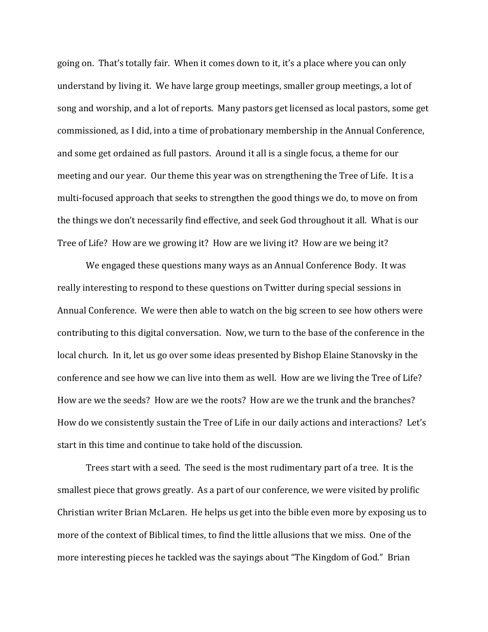going on. That's totally fair. When it comes down to it, it's a place where you can only understand by living it. We have large group meetings, smaller group meetings, a lot of song and worship, and a lot of reports. Many pastors get licensed as local pastors, some get commissioned, as I did, into a time of probationary membership in the Annual Conference, and some get ordained as full pastors. Around it all is a single focus, a theme for our meeting and our year. Our theme this year was on strengthening the Tree of Life. It is a multi-focused approach that seeks to strengthen the good things we do, to move on from the things we don't necessarily find effective, and seek God throughout it all. What is our Tree of Life? How are we growing it? How are we living it? How are we being it?

We engaged these questions many ways as an Annual Conference Body. It was really interesting to respond to these questions on Twitter during special sessions in Annual Conference. We were then able to watch on the big screen to see how others were contributing to this digital conversation. Now, we turn to the base of the conference in the local church. In it, let us go over some ideas presented by Bishop Elaine Stanovsky in the conference and see how we can live into them as well. How are we living the Tree of Life? How are we the seeds? How are we the roots? How are we the trunk and the branches? How do we consistently sustain the Tree of Life in our daily actions and interactions? Let's start in this time and continue to take hold of the discussion.

 Trees start with a seed. The seed is the most rudimentary part of a tree. It is the smallest piece that grows greatly. As a part of our conference, we were visited by prolific Christian writer Brian McLaren. He helps us get into the bible even more by exposing us to more of the context of Biblical times, to find the little allusions that we miss. One of the more interesting pieces he tackled was the sayings about "The Kingdom of God." Brian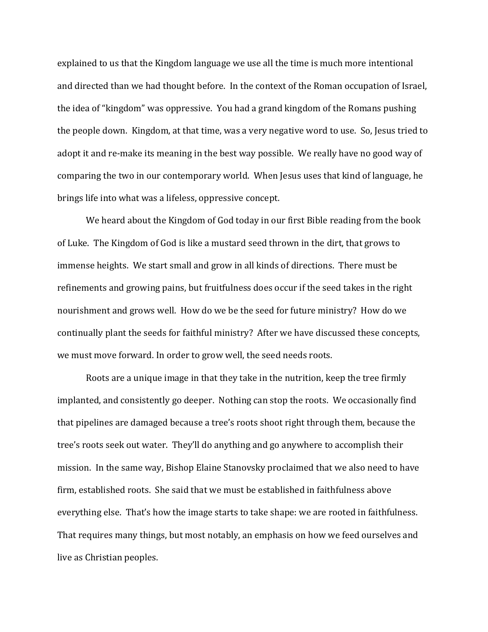explained to us that the Kingdom language we use all the time is much more intentional and directed than we had thought before. In the context of the Roman occupation of Israel, the idea of "kingdom" was oppressive. You had a grand kingdom of the Romans pushing the people down. Kingdom, at that time, was a very negative word to use. So, Jesus tried to adopt it and re-make its meaning in the best way possible. We really have no good way of comparing the two in our contemporary world. When Jesus uses that kind of language, he brings life into what was a lifeless, oppressive concept.

We heard about the Kingdom of God today in our first Bible reading from the book of Luke. The Kingdom of God is like a mustard seed thrown in the dirt, that grows to immense heights. We start small and grow in all kinds of directions. There must be refinements and growing pains, but fruitfulness does occur if the seed takes in the right nourishment and grows well. How do we be the seed for future ministry? How do we continually plant the seeds for faithful ministry? After we have discussed these concepts, we must move forward. In order to grow well, the seed needs roots.

 Roots are a unique image in that they take in the nutrition, keep the tree firmly implanted, and consistently go deeper. Nothing can stop the roots. We occasionally find that pipelines are damaged because a tree's roots shoot right through them, because the tree's roots seek out water. They'll do anything and go anywhere to accomplish their mission. In the same way, Bishop Elaine Stanovsky proclaimed that we also need to have firm, established roots. She said that we must be established in faithfulness above everything else. That's how the image starts to take shape: we are rooted in faithfulness. That requires many things, but most notably, an emphasis on how we feed ourselves and live as Christian peoples.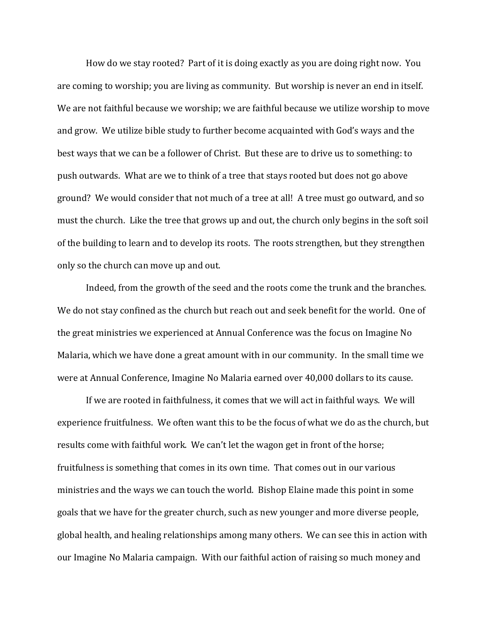How do we stay rooted? Part of it is doing exactly as you are doing right now. You are coming to worship; you are living as community. But worship is never an end in itself. We are not faithful because we worship; we are faithful because we utilize worship to move and grow. We utilize bible study to further become acquainted with God's ways and the best ways that we can be a follower of Christ. But these are to drive us to something: to push outwards. What are we to think of a tree that stays rooted but does not go above ground? We would consider that not much of a tree at all! A tree must go outward, and so must the church. Like the tree that grows up and out, the church only begins in the soft soil of the building to learn and to develop its roots. The roots strengthen, but they strengthen only so the church can move up and out.

 Indeed, from the growth of the seed and the roots come the trunk and the branches. We do not stay confined as the church but reach out and seek benefit for the world. One of the great ministries we experienced at Annual Conference was the focus on Imagine No Malaria, which we have done a great amount with in our community. In the small time we were at Annual Conference, Imagine No Malaria earned over 40,000 dollars to its cause.

 If we are rooted in faithfulness, it comes that we will act in faithful ways. We will experience fruitfulness. We often want this to be the focus of what we do as the church, but results come with faithful work. We can't let the wagon get in front of the horse; fruitfulness is something that comes in its own time. That comes out in our various ministries and the ways we can touch the world. Bishop Elaine made this point in some goals that we have for the greater church, such as new younger and more diverse people, global health, and healing relationships among many others. We can see this in action with our Imagine No Malaria campaign. With our faithful action of raising so much money and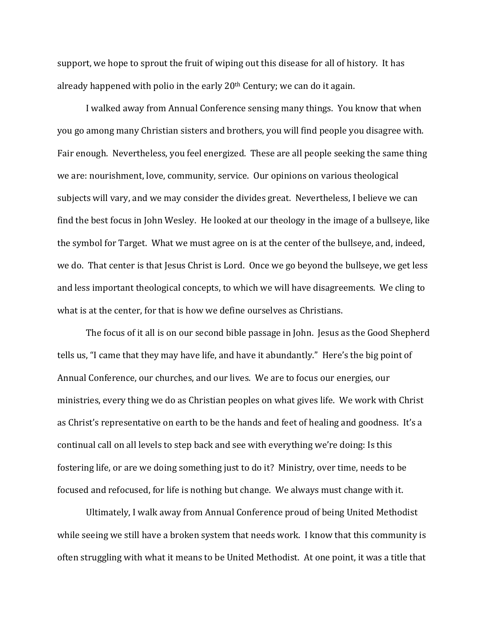support, we hope to sprout the fruit of wiping out this disease for all of history. It has already happened with polio in the early  $20<sup>th</sup>$  Century; we can do it again.

 I walked away from Annual Conference sensing many things. You know that when you go among many Christian sisters and brothers, you will find people you disagree with. Fair enough. Nevertheless, you feel energized. These are all people seeking the same thing we are: nourishment, love, community, service. Our opinions on various theological subjects will vary, and we may consider the divides great. Nevertheless, I believe we can find the best focus in John Wesley. He looked at our theology in the image of a bullseye, like the symbol for Target. What we must agree on is at the center of the bullseye, and, indeed, we do. That center is that Jesus Christ is Lord. Once we go beyond the bullseye, we get less and less important theological concepts, to which we will have disagreements. We cling to what is at the center, for that is how we define ourselves as Christians.

 The focus of it all is on our second bible passage in John. Jesus as the Good Shepherd tells us, "I came that they may have life, and have it abundantly." Here's the big point of Annual Conference, our churches, and our lives. We are to focus our energies, our ministries, every thing we do as Christian peoples on what gives life. We work with Christ as Christ's representative on earth to be the hands and feet of healing and goodness. It's a continual call on all levels to step back and see with everything we're doing: Is this fostering life, or are we doing something just to do it? Ministry, over time, needs to be focused and refocused, for life is nothing but change. We always must change with it.

 Ultimately, I walk away from Annual Conference proud of being United Methodist while seeing we still have a broken system that needs work. I know that this community is often struggling with what it means to be United Methodist. At one point, it was a title that